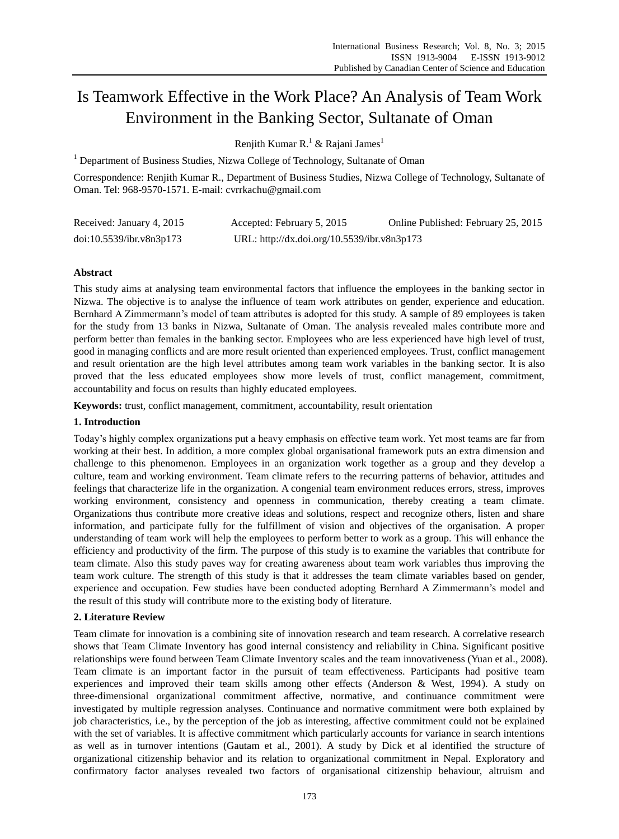# Is Teamwork Effective in the Work Place? An Analysis of Team Work Environment in the Banking Sector, Sultanate of Oman

Renjith Kumar R.<sup>1</sup> & Rajani James<sup>1</sup>

 $1$  Department of Business Studies, Nizwa College of Technology, Sultanate of Oman

Correspondence: Renjith Kumar R., Department of Business Studies, Nizwa College of Technology, Sultanate of Oman. Tel: 968-9570-1571. E-mail: cvrrkachu@gmail.com

| Received: January 4, 2015 | Accepted: February 5, 2015                  | Online Published: February 25, 2015 |
|---------------------------|---------------------------------------------|-------------------------------------|
| doi:10.5539/ibr.v8n3p173  | URL: http://dx.doi.org/10.5539/ibr.v8n3p173 |                                     |

# **Abstract**

This study aims at analysing team environmental factors that influence the employees in the banking sector in Nizwa. The objective is to analyse the influence of team work attributes on gender, experience and education. Bernhard A Zimmermann's model of team attributes is adopted for this study. A sample of 89 employees is taken for the study from 13 banks in Nizwa, Sultanate of Oman. The analysis revealed males contribute more and perform better than females in the banking sector. Employees who are less experienced have high level of trust, good in managing conflicts and are more result oriented than experienced employees. Trust, conflict management and result orientation are the high level attributes among team work variables in the banking sector. It is also proved that the less educated employees show more levels of trust, conflict management, commitment, accountability and focus on results than highly educated employees.

**Keywords:** trust, conflict management, commitment, accountability, result orientation

## **1. Introduction**

Today's highly complex organizations put a heavy emphasis on effective team work. Yet most teams are far from working at their best. In addition, a more complex global organisational framework puts an extra dimension and challenge to this phenomenon. Employees in an organization work together as a group and they develop a culture, team and working environment. Team climate refers to the recurring patterns of behavior, attitudes and feelings that characterize life in the organization. A congenial team environment reduces errors, stress, improves working environment, consistency and openness in communication, thereby creating a team climate. Organizations thus contribute more creative ideas and solutions, respect and recognize others, listen and share information, and participate fully for the fulfillment of vision and objectives of the organisation. A proper understanding of team work will help the employees to perform better to work as a group. This will enhance the efficiency and productivity of the firm. The purpose of this study is to examine the variables that contribute for team climate. Also this study paves way for creating awareness about team work variables thus improving the team work culture. The strength of this study is that it addresses the team climate variables based on gender, experience and occupation. Few studies have been conducted adopting Bernhard A Zimmermann's model and the result of this study will contribute more to the existing body of literature.

# **2. Literature Review**

Team climate for innovation is a combining site of innovation research and team research. A correlative research shows that Team Climate Inventory has good internal consistency and reliability in China. Significant positive relationships were found between Team Climate Inventory scales and the team innovativeness (Yuan et al., 2008). Team climate is an important factor in the pursuit of team effectiveness. Participants had positive team experiences and improved their team skills among other effects (Anderson & West, 1994). A study on three-dimensional organizational commitment affective, normative, and continuance commitment were investigated by multiple regression analyses. Continuance and normative commitment were both explained by job characteristics, i.e., by the perception of the job as interesting, affective commitment could not be explained with the set of variables. It is affective commitment which particularly accounts for variance in search intentions as well as in turnover intentions (Gautam et al., 2001). A study by Dick et al identified the structure of organizational citizenship behavior and its relation to organizational commitment in Nepal. Exploratory and confirmatory factor analyses revealed two factors of organisational citizenship behaviour, altruism and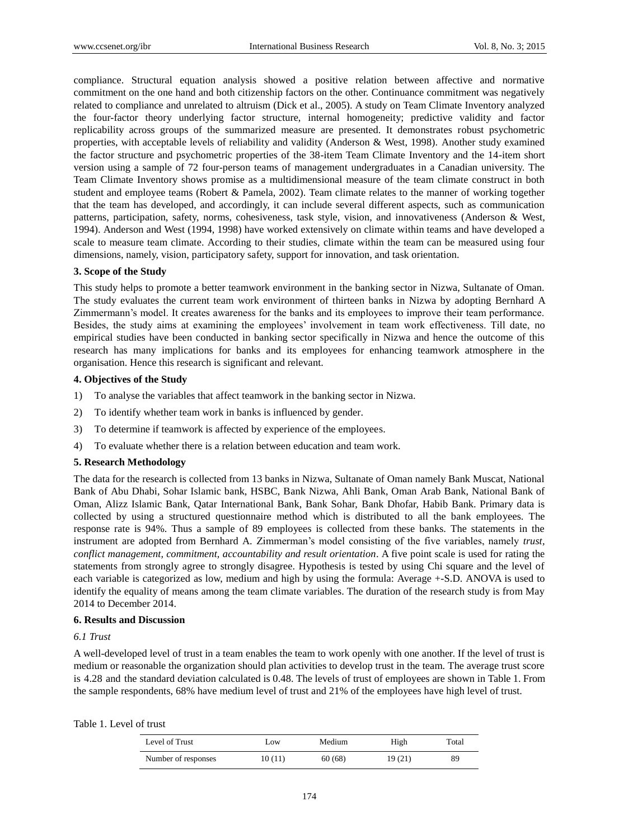compliance. Structural equation analysis showed a positive relation between affective and normative commitment on the one hand and both citizenship factors on the other. Continuance commitment was negatively related to compliance and unrelated to altruism (Dick et al., 2005). A study on Team Climate Inventory analyzed the four-factor theory underlying factor structure, internal homogeneity; predictive validity and factor replicability across groups of the summarized measure are presented. It demonstrates robust psychometric properties, with acceptable levels of reliability and validity (Anderson & West, 1998). Another study examined the factor structure and psychometric properties of the 38-item Team Climate Inventory and the 14-item short version using a sample of 72 four-person teams of management undergraduates in a Canadian university. The Team Climate Inventory shows promise as a multidimensional measure of the team climate construct in both student and employee teams (Robert & Pamela, 2002). Team climate relates to the manner of working together that the team has developed, and accordingly, it can include several different aspects, such as communication patterns, participation, safety, norms, cohesiveness, task style, vision, and innovativeness (Anderson & West, 1994). Anderson and West (1994, 1998) have worked extensively on climate within teams and have developed a scale to measure team climate. According to their studies, climate within the team can be measured using four dimensions, namely, vision, participatory safety, support for innovation, and task orientation.

## **3. Scope of the Study**

This study helps to promote a better teamwork environment in the banking sector in Nizwa, Sultanate of Oman. The study evaluates the current team work environment of thirteen banks in Nizwa by adopting Bernhard A Zimmermann's model. It creates awareness for the banks and its employees to improve their team performance. Besides, the study aims at examining the employees' involvement in team work effectiveness. Till date, no empirical studies have been conducted in banking sector specifically in Nizwa and hence the outcome of this research has many implications for banks and its employees for enhancing teamwork atmosphere in the organisation. Hence this research is significant and relevant.

## **4. Objectives of the Study**

- 1) To analyse the variables that affect teamwork in the banking sector in Nizwa.
- 2) To identify whether team work in banks is influenced by gender.
- 3) To determine if teamwork is affected by experience of the employees.
- 4) To evaluate whether there is a relation between education and team work.

#### **5. Research Methodology**

The data for the research is collected from 13 banks in Nizwa, Sultanate of Oman namely Bank Muscat, National Bank of Abu Dhabi, Sohar Islamic bank, HSBC, Bank Nizwa, Ahli Bank, Oman Arab Bank, National Bank of Oman, Alizz Islamic Bank, Qatar International Bank, Bank Sohar, Bank Dhofar, Habib Bank. Primary data is collected by using a structured questionnaire method which is distributed to all the bank employees. The response rate is 94%. Thus a sample of 89 employees is collected from these banks. The statements in the instrument are adopted from Bernhard A. Zimmerman's model consisting of the five variables, namely *trust, conflict management, commitment, accountability and result orientation*. A five point scale is used for rating the statements from strongly agree to strongly disagree. Hypothesis is tested by using Chi square and the level of each variable is categorized as low, medium and high by using the formula: Average +-S.D. ANOVA is used to identify the equality of means among the team climate variables. The duration of the research study is from May 2014 to December 2014.

### **6. Results and Discussion**

## *6.1 Trust*

A well-developed level of trust in a team enables the team to work openly with one another. If the level of trust is medium or reasonable the organization should plan activities to develop trust in the team. The average trust score is 4.28 and the standard deviation calculated is 0.48. The levels of trust of employees are shown in Table 1. From the sample respondents, 68% have medium level of trust and 21% of the employees have high level of trust.

#### Table 1. Level of trust

| Level of Trust      | Low    | Medium | High   | Total |
|---------------------|--------|--------|--------|-------|
| Number of responses | 10(11) | 60(68) | 19(21) | 89    |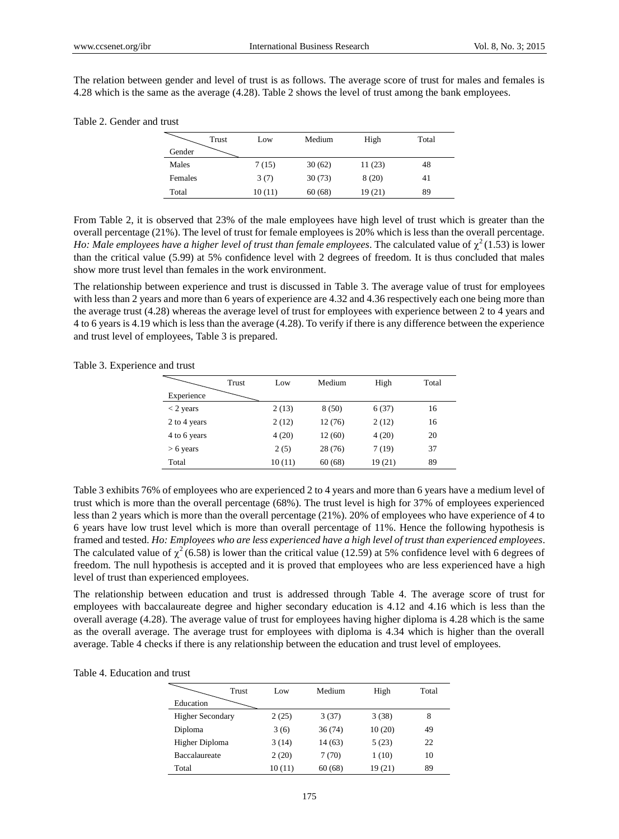The relation between gender and level of trust is as follows. The average score of trust for males and females is 4.28 which is the same as the average (4.28). Table 2 shows the level of trust among the bank employees.

## Table 2. Gender and trust

| Trust   | Low    | Medium | High   | Total |
|---------|--------|--------|--------|-------|
| Gender  |        |        |        |       |
| Males   | 7(15)  | 30(62) | 11(23) | 48    |
| Females | 3(7)   | 30(73) | 8(20)  | 41    |
| Total   | 10(11) | 60(68) | 19(21) | 89    |

From Table 2, it is observed that 23% of the male employees have high level of trust which is greater than the overall percentage (21%). The level of trust for female employees is 20% which is less than the overall percentage. *Ho: Male employees have a higher level of trust than female employees.* The calculated value of  $\chi^2(1.53)$  is lower than the critical value (5.99) at 5% confidence level with 2 degrees of freedom. It is thus concluded that males show more trust level than females in the work environment.

The relationship between experience and trust is discussed in Table 3. The average value of trust for employees with less than 2 years and more than 6 years of experience are 4.32 and 4.36 respectively each one being more than the average trust (4.28) whereas the average level of trust for employees with experience between 2 to 4 years and 4 to 6 years is 4.19 which is less than the average (4.28). To verify if there is any difference between the experience and trust level of employees, Table 3 is prepared.

| nov and uust |       |       |        |       |       |
|--------------|-------|-------|--------|-------|-------|
|              | Trust | Low   | Medium | High  | Total |
| Experience   |       |       |        |       |       |
| $<$ 2 years  |       | 2(13) | 8(50)  | 6(37) | 16    |
| 2 to 4 years |       | 2(12) | 12(76) | 2(12) | 16    |
| 4 to 6 years |       | 4(20) | 12(60) | 4(20) | 20    |
| $> 6$ years  |       | 2(5)  | 28(76) | 7(19) | 37    |

Table 3. Experience and trust

Table 3 exhibits 76% of employees who are experienced 2 to 4 years and more than 6 years have a medium level of trust which is more than the overall percentage (68%). The trust level is high for 37% of employees experienced less than 2 years which is more than the overall percentage (21%). 20% of employees who have experience of 4 to 6 years have low trust level which is more than overall percentage of 11%. Hence the following hypothesis is framed and tested. *Ho: Employees who are less experienced have a high level of trust than experienced employees*. The calculated value of  $\chi^2$  (6.58) is lower than the critical value (12.59) at 5% confidence level with 6 degrees of freedom. The null hypothesis is accepted and it is proved that employees who are less experienced have a high level of trust than experienced employees.

Total 10 (11) 60 (68) 19 (21) 89

The relationship between education and trust is addressed through Table 4. The average score of trust for employees with baccalaureate degree and higher secondary education is 4.12 and 4.16 which is less than the overall average (4.28). The average value of trust for employees having higher diploma is 4.28 which is the same as the overall average. The average trust for employees with diploma is 4.34 which is higher than the overall average. Table 4 checks if there is any relationship between the education and trust level of employees.

| Table 4. Education and trust |
|------------------------------|
|------------------------------|

|                         | Trust<br>Low | Medium | High   | Total |
|-------------------------|--------------|--------|--------|-------|
| Education               |              |        |        |       |
| <b>Higher Secondary</b> | 2(25)        | 3(37)  | 3(38)  | 8     |
| Diploma                 | 3(6)         | 36(74) | 10(20) | 49    |
| Higher Diploma          | 3(14)        | 14(63) | 5(23)  | 22    |
| <b>Baccalaureate</b>    | 2(20)        | 7(70)  | 1(10)  | 10    |
| Total                   | 10(11)       | 60(68) | 19(21) | 89    |
|                         |              |        |        |       |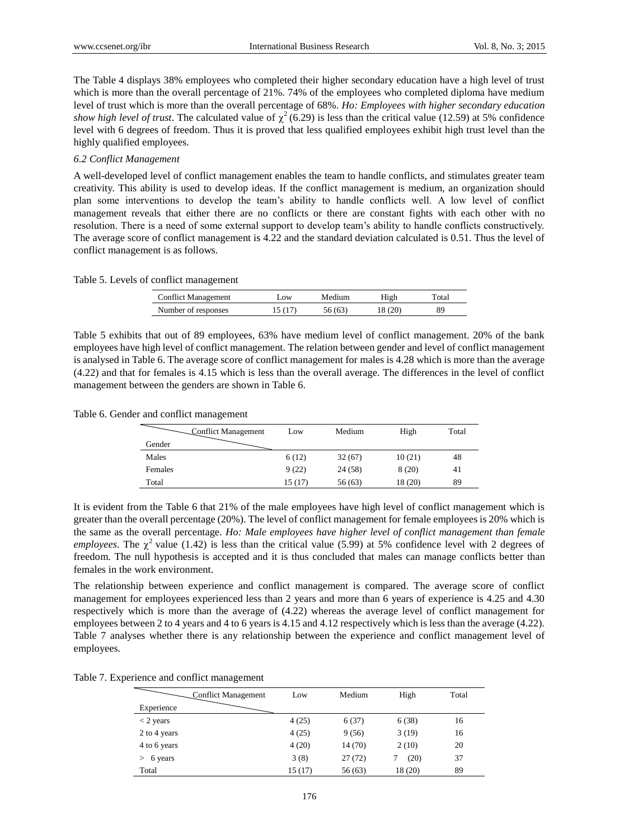The Table 4 displays 38% employees who completed their higher secondary education have a high level of trust which is more than the overall percentage of 21%. 74% of the employees who completed diploma have medium level of trust which is more than the overall percentage of 68%. *Ho: Employees with higher secondary education*  show high level of trust. The calculated value of  $\chi^2$  (6.29) is less than the critical value (12.59) at 5% confidence level with 6 degrees of freedom. Thus it is proved that less qualified employees exhibit high trust level than the highly qualified employees.

## *6.2 Conflict Management*

A well-developed level of conflict management enables the team to handle conflicts, and stimulates greater team creativity. This ability is used to develop ideas. If the conflict management is medium, an organization should plan some interventions to develop the team's ability to handle conflicts well. A low level of conflict management reveals that either there are no conflicts or there are constant fights with each other with no resolution. There is a need of some external support to develop team's ability to handle conflicts constructively. The average score of conflict management is 4.22 and the standard deviation calculated is 0.51. Thus the level of conflict management is as follows.

Table 5. Levels of conflict management

| <b>Conflict Management</b> | $_{\rm{10W}}$ | Medium | High   | Total |
|----------------------------|---------------|--------|--------|-------|
| Number of responses        | 15(17)        | 56(63) | 18(20) | 89    |

Table 5 exhibits that out of 89 employees, 63% have medium level of conflict management. 20% of the bank employees have high level of conflict management. The relation between gender and level of conflict management is analysed in Table 6. The average score of conflict management for males is 4.28 which is more than the average (4.22) and that for females is 4.15 which is less than the overall average. The differences in the level of conflict management between the genders are shown in Table 6.

Table 6. Gender and conflict management

| Conflict Management | Low     | Medium  | High    | Total |
|---------------------|---------|---------|---------|-------|
| Gender              |         |         |         |       |
| Males               | 6(12)   | 32(67)  | 10(21)  | 48    |
| Females             | 9(22)   | 24 (58) | 8(20)   | 41    |
| Total               | 15 (17) | 56(63)  | 18 (20) | 89    |

It is evident from the Table 6 that 21% of the male employees have high level of conflict management which is greater than the overall percentage (20%). The level of conflict management for female employees is 20% which is the same as the overall percentage. *Ho: Male employees have higher level of conflict management than female employees*. The  $\chi^2$  value (1.42) is less than the critical value (5.99) at 5% confidence level with 2 degrees of freedom. The null hypothesis is accepted and it is thus concluded that males can manage conflicts better than females in the work environment.

The relationship between experience and conflict management is compared. The average score of conflict management for employees experienced less than 2 years and more than 6 years of experience is 4.25 and 4.30 respectively which is more than the average of (4.22) whereas the average level of conflict management for employees between 2 to 4 years and 4 to 6 years is 4.15 and 4.12 respectively which is less than the average (4.22). Table 7 analyses whether there is any relationship between the experience and conflict management level of employees.

|  |  |  |  | Table 7. Experience and conflict management |
|--|--|--|--|---------------------------------------------|
|--|--|--|--|---------------------------------------------|

| Conflict Management | Low    | Medium  | High    | Total |
|---------------------|--------|---------|---------|-------|
| Experience          |        |         |         |       |
| $<$ 2 years         | 4(25)  | 6(37)   | 6(38)   | 16    |
| 2 to 4 years        | 4(25)  | 9(56)   | 3(19)   | 16    |
| 4 to 6 years        | 4(20)  | 14 (70) | 2(10)   | 20    |
| 6 years             | 3(8)   | 27(72)  | (20)    | 37    |
| Total               | 15(17) | 56(63)  | 18 (20) | 89    |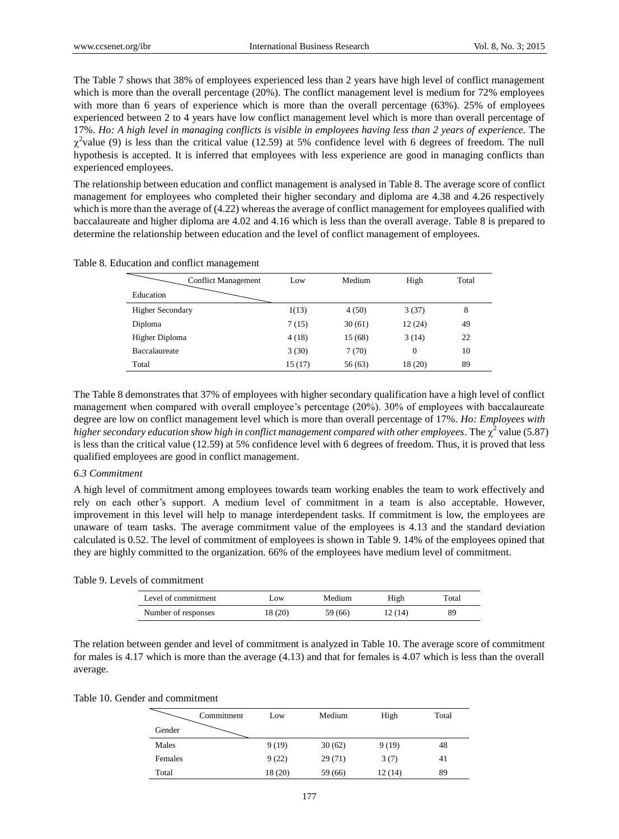The Table 7 shows that 38% of employees experienced less than 2 years have high level of conflict management which is more than the overall percentage (20%). The conflict management level is medium for 72% employees with more than 6 years of experience which is more than the overall percentage (63%). 25% of employees experienced between 2 to 4 years have low conflict management level which is more than overall percentage of 17%. *Ho: A high level in managing conflicts is visible in employees having less than 2 years of experience.* The  $\chi^2$ value (9) is less than the critical value (12.59) at 5% confidence level with 6 degrees of freedom. The null hypothesis is accepted. It is inferred that employees with less experience are good in managing conflicts than experienced employees.

The relationship between education and conflict management is analysed in Table 8. The average score of conflict management for employees who completed their higher secondary and diploma are 4.38 and 4.26 respectively which is more than the average of (4.22) whereas the average of conflict management for employees qualified with baccalaureate and higher diploma are 4.02 and 4.16 which is less than the overall average. Table 8 is prepared to determine the relationship between education and the level of conflict management of employees.

|  |  |  |  | Table 8. Education and conflict management |
|--|--|--|--|--------------------------------------------|
|--|--|--|--|--------------------------------------------|

|                         | <b>Conflict Management</b> | Low    | Medium  | High     | Total |
|-------------------------|----------------------------|--------|---------|----------|-------|
| Education               |                            |        |         |          |       |
| <b>Higher Secondary</b> |                            | 1(13)  | 4(50)   | 3(37)    | 8     |
| Diploma                 |                            | 7(15)  | 30(61)  | 12(24)   | 49    |
| Higher Diploma          |                            | 4(18)  | 15 (68) | 3(14)    | 22    |
| Baccalaureate           |                            | 3(30)  | 7(70)   | $\Omega$ | 10    |
| Total                   |                            | 15(17) | 56(63)  | 18 (20)  | 89    |

The Table 8 demonstrates that 37% of employees with higher secondary qualification have a high level of conflict management when compared with overall employee's percentage (20%). 30% of employees with baccalaureate degree are low on conflict management level which is more than overall percentage of 17%. *Ho: Employees with*  higher secondary education show high in conflict management compared with other employees. The  $\chi^2$  value (5.87) is less than the critical value (12.59) at 5% confidence level with 6 degrees of freedom. Thus, it is proved that less qualified employees are good in conflict management.

## *6.3 Commitment*

A high level of commitment among employees towards team working enables the team to work effectively and rely on each other's support. A medium level of commitment in a team is also acceptable. However, improvement in this level will help to manage interdependent tasks. If commitment is low, the employees are unaware of team tasks. The average commitment value of the employees is 4.13 and the standard deviation calculated is 0.52. The level of commitment of employees is shown in Table 9. 14% of the employees opined that they are highly committed to the organization. 66% of the employees have medium level of commitment.

| Table 9. Levels of commitment |  |
|-------------------------------|--|
|-------------------------------|--|

| Level of commitment | LOW     | Medium  | High   | Total |
|---------------------|---------|---------|--------|-------|
| Number of responses | 18 (20) | 59 (66) | 12(14) | 89    |

The relation between gender and level of commitment is analyzed in Table 10. The average score of commitment for males is 4.17 which is more than the average (4.13) and that for females is 4.07 which is less than the overall average.

Table 10. Gender and commitment

|         | Commitment | Low     | Medium  | High   | Total |
|---------|------------|---------|---------|--------|-------|
| Gender  |            |         |         |        |       |
| Males   |            | 9(19)   | 30(62)  | 9(19)  | 48    |
| Females |            | 9(22)   | 29(71)  | 3(7)   | 41    |
| Total   |            | 18 (20) | 59 (66) | 12(14) | 89    |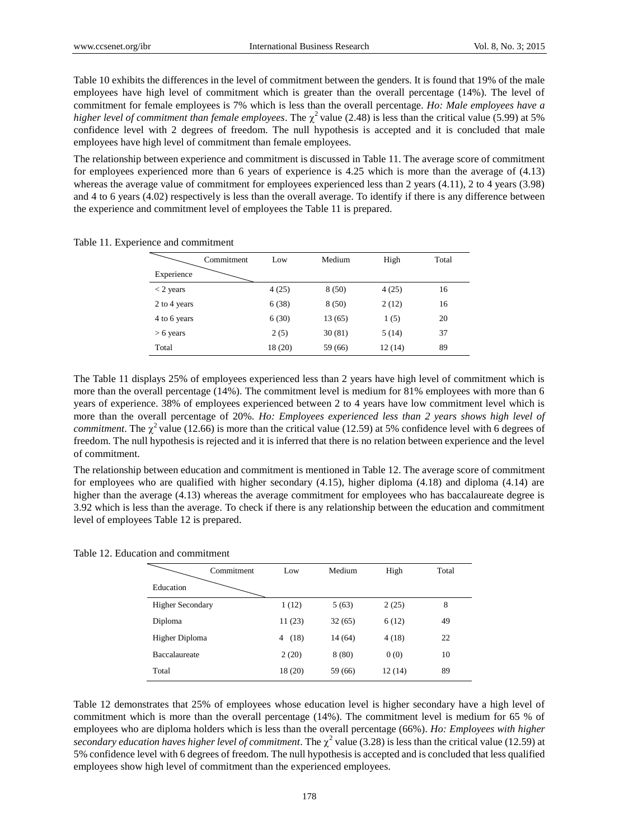Table 10 exhibits the differences in the level of commitment between the genders. It is found that 19% of the male employees have high level of commitment which is greater than the overall percentage (14%). The level of commitment for female employees is 7% which is less than the overall percentage. *Ho: Male employees have a higher level of commitment than female employees.* The  $\chi^2$  value (2.48) is less than the critical value (5.99) at 5% confidence level with 2 degrees of freedom. The null hypothesis is accepted and it is concluded that male employees have high level of commitment than female employees.

The relationship between experience and commitment is discussed in Table 11. The average score of commitment for employees experienced more than 6 years of experience is 4.25 which is more than the average of (4.13) whereas the average value of commitment for employees experienced less than 2 years (4.11), 2 to 4 years (3.98) and 4 to 6 years (4.02) respectively is less than the overall average. To identify if there is any difference between the experience and commitment level of employees the Table 11 is prepared.

|              | Commitment | Low    | Medium  | High   | Total |
|--------------|------------|--------|---------|--------|-------|
| Experience   |            |        |         |        |       |
| $<$ 2 years  |            | 4(25)  | 8(50)   | 4(25)  | 16    |
| 2 to 4 years |            | 6(38)  | 8(50)   | 2(12)  | 16    |
| 4 to 6 years |            | 6(30)  | 13(65)  | 1(5)   | 20    |
| $> 6$ years  |            | 2(5)   | 30(81)  | 5(14)  | 37    |
| Total        |            | 18(20) | 59 (66) | 12(14) | 89    |

Table 11. Experience and commitment

The Table 11 displays 25% of employees experienced less than 2 years have high level of commitment which is more than the overall percentage (14%). The commitment level is medium for 81% employees with more than 6 years of experience. 38% of employees experienced between 2 to 4 years have low commitment level which is more than the overall percentage of 20%. *Ho: Employees experienced less than 2 years shows high level of commitment*. The  $\chi^2$  value (12.66) is more than the critical value (12.59) at 5% confidence level with 6 degrees of freedom. The null hypothesis is rejected and it is inferred that there is no relation between experience and the level of commitment.

The relationship between education and commitment is mentioned in Table 12. The average score of commitment for employees who are qualified with higher secondary (4.15), higher diploma (4.18) and diploma (4.14) are higher than the average (4.13) whereas the average commitment for employees who has baccalaureate degree is 3.92 which is less than the average. To check if there is any relationship between the education and commitment level of employees Table 12 is prepared.

Table 12. Education and commitment

|                         | Commitment | Low       | Medium  | High   | Total |
|-------------------------|------------|-----------|---------|--------|-------|
| Education               |            |           |         |        |       |
| <b>Higher Secondary</b> |            | 1(12)     | 5(63)   | 2(25)  | 8     |
| Diploma                 |            | 11(23)    | 32(65)  | 6(12)  | 49    |
| <b>Higher Diploma</b>   |            | (18)<br>4 | 14 (64) | 4(18)  | 22    |
| <b>Baccalaureate</b>    |            | 2(20)     | 8(80)   | 0(0)   | 10    |
| Total                   |            | 18(20)    | 59 (66) | 12(14) | 89    |

Table 12 demonstrates that 25% of employees whose education level is higher secondary have a high level of commitment which is more than the overall percentage (14%). The commitment level is medium for 65 % of employees who are diploma holders which is less than the overall percentage (66%). *Ho: Employees with higher*  secondary education haves higher level of commitment. The  $\chi^2$  value (3.28) is less than the critical value (12.59) at 5% confidence level with 6 degrees of freedom. The null hypothesis is accepted and is concluded that less qualified employees show high level of commitment than the experienced employees.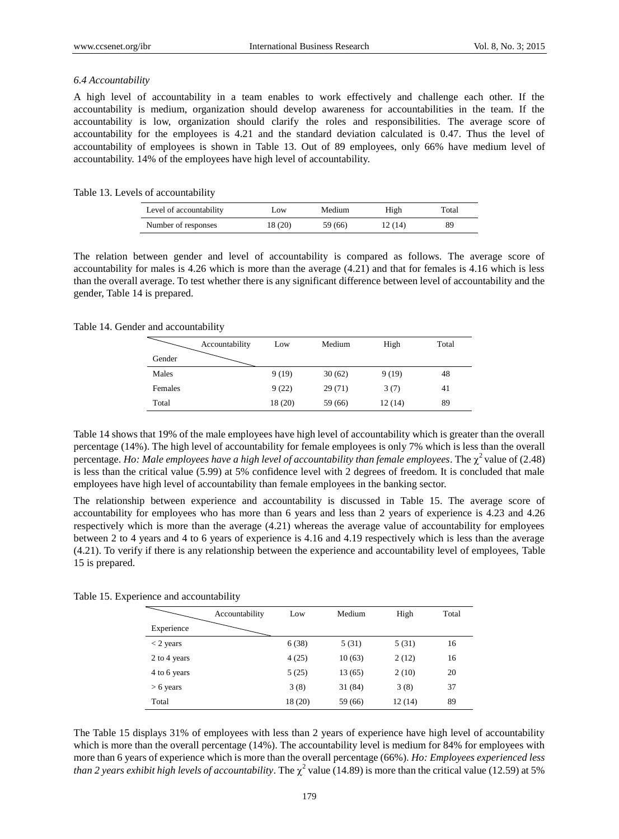## *6.4 Accountability*

A high level of accountability in a team enables to work effectively and challenge each other. If the accountability is medium, organization should develop awareness for accountabilities in the team. If the accountability is low, organization should clarify the roles and responsibilities. The average score of accountability for the employees is 4.21 and the standard deviation calculated is 0.47. Thus the level of accountability of employees is shown in Table 13. Out of 89 employees, only 66% have medium level of accountability. 14% of the employees have high level of accountability.

## Table 13. Levels of accountability

| Level of accountability | LOW.    | Medium  | High    | Total |
|-------------------------|---------|---------|---------|-------|
| Number of responses     | 18 (20) | 59 (66) | 12 (14) | 89    |

The relation between gender and level of accountability is compared as follows. The average score of accountability for males is 4.26 which is more than the average (4.21) and that for females is 4.16 which is less than the overall average. To test whether there is any significant difference between level of accountability and the gender, Table 14 is prepared.

## Table 14. Gender and accountability

|         | Accountability | Low     | Medium  | High   | Total |
|---------|----------------|---------|---------|--------|-------|
| Gender  |                |         |         |        |       |
| Males   |                | 9(19)   | 30(62)  | 9(19)  | 48    |
| Females |                | 9(22)   | 29(71)  | 3(7)   | 41    |
| Total   |                | 18 (20) | 59 (66) | 12(14) | 89    |

Table 14 shows that 19% of the male employees have high level of accountability which is greater than the overall percentage (14%). The high level of accountability for female employees is only 7% which is less than the overall percentage. Ho: Male employees have a high level of accountability than female employees. The  $\chi^2$  value of (2.48) is less than the critical value (5.99) at 5% confidence level with 2 degrees of freedom. It is concluded that male employees have high level of accountability than female employees in the banking sector.

The relationship between experience and accountability is discussed in Table 15. The average score of accountability for employees who has more than 6 years and less than 2 years of experience is 4.23 and 4.26 respectively which is more than the average (4.21) whereas the average value of accountability for employees between 2 to 4 years and 4 to 6 years of experience is 4.16 and 4.19 respectively which is less than the average (4.21). To verify if there is any relationship between the experience and accountability level of employees, Table 15 is prepared.

|  |  |  |  | Table 15. Experience and accountability |  |
|--|--|--|--|-----------------------------------------|--|
|--|--|--|--|-----------------------------------------|--|

|              | Accountability | Low     | Medium  | High   | Total |
|--------------|----------------|---------|---------|--------|-------|
| Experience   |                |         |         |        |       |
| $<$ 2 years  |                | 6(38)   | 5(31)   | 5(31)  | 16    |
| 2 to 4 years |                | 4(25)   | 10(63)  | 2(12)  | 16    |
| 4 to 6 years |                | 5(25)   | 13 (65) | 2(10)  | 20    |
| $> 6$ years  |                | 3(8)    | 31 (84) | 3(8)   | 37    |
| Total        |                | 18 (20) | 59 (66) | 12(14) | 89    |

The Table 15 displays 31% of employees with less than 2 years of experience have high level of accountability which is more than the overall percentage (14%). The accountability level is medium for 84% for employees with more than 6 years of experience which is more than the overall percentage (66%). *Ho: Employees experienced less than 2 years exhibit high levels of accountability*. The  $\chi^2$  value (14.89) is more than the critical value (12.59) at 5%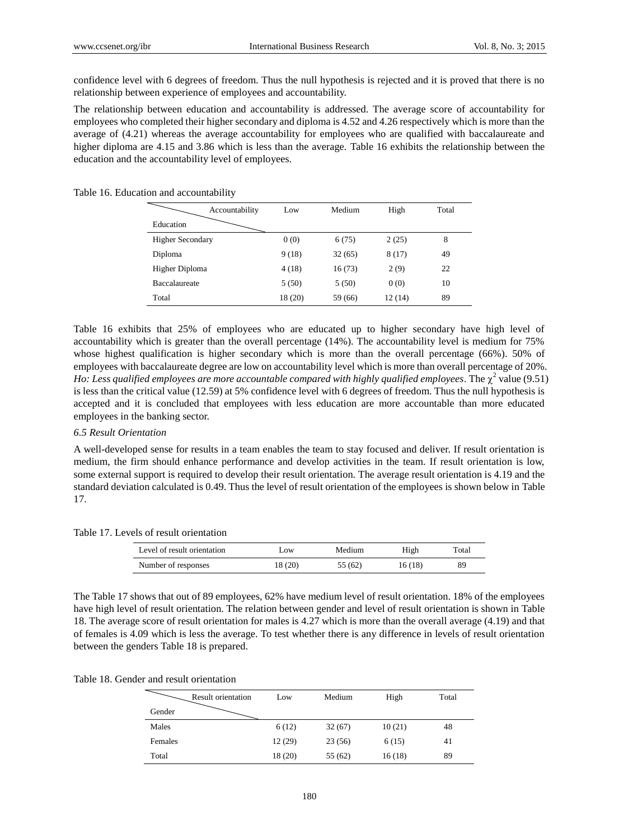confidence level with 6 degrees of freedom. Thus the null hypothesis is rejected and it is proved that there is no relationship between experience of employees and accountability.

The relationship between education and accountability is addressed. The average score of accountability for employees who completed their higher secondary and diploma is 4.52 and 4.26 respectively which is more than the average of (4.21) whereas the average accountability for employees who are qualified with baccalaureate and higher diploma are 4.15 and 3.86 which is less than the average. Table 16 exhibits the relationship between the education and the accountability level of employees.

#### Table 16. Education and accountability

| Accountability          | Low     | Medium  | High   | Total |
|-------------------------|---------|---------|--------|-------|
| Education               |         |         |        |       |
| <b>Higher Secondary</b> | 0(0)    | 6(75)   | 2(25)  | 8     |
| Diploma                 | 9(18)   | 32(65)  | 8(17)  | 49    |
| Higher Diploma          | 4(18)   | 16(73)  | 2(9)   | 22    |
| <b>Baccalaureate</b>    | 5(50)   | 5(50)   | 0(0)   | 10    |
| Total                   | 18 (20) | 59 (66) | 12(14) | 89    |

Table 16 exhibits that 25% of employees who are educated up to higher secondary have high level of accountability which is greater than the overall percentage (14%). The accountability level is medium for 75% whose highest qualification is higher secondary which is more than the overall percentage (66%). 50% of employees with baccalaureate degree are low on accountability level which is more than overall percentage of 20%. *Ho: Less qualified employees are more accountable compared with highly qualified employees.* The  $\chi^2$  value (9.51) is less than the critical value (12.59) at 5% confidence level with 6 degrees of freedom. Thus the null hypothesis is accepted and it is concluded that employees with less education are more accountable than more educated employees in the banking sector.

#### *6.5 Result Orientation*

A well-developed sense for results in a team enables the team to stay focused and deliver. If result orientation is medium, the firm should enhance performance and develop activities in the team. If result orientation is low, some external support is required to develop their result orientation. The average result orientation is 4.19 and the standard deviation calculated is 0.49. Thus the level of result orientation of the employees is shown below in Table 17.

#### Table 17. Levels of result orientation

| Level of result orientation | Low     | Medium  | High    | Total |
|-----------------------------|---------|---------|---------|-------|
| Number of responses         | 18 (20) | 55 (62) | 16 (18) | 89    |

The Table 17 shows that out of 89 employees, 62% have medium level of result orientation. 18% of the employees have high level of result orientation. The relation between gender and level of result orientation is shown in Table 18. The average score of result orientation for males is 4.27 which is more than the overall average (4.19) and that of females is 4.09 which is less the average. To test whether there is any difference in levels of result orientation between the genders Table 18 is prepared.

| <b>Result orientation</b> | Low     | Medium  | High   | Total |
|---------------------------|---------|---------|--------|-------|
| Gender                    |         |         |        |       |
| Males                     | 6(12)   | 32(67)  | 10(21) | 48    |
| Females                   | 12(29)  | 23(56)  | 6(15)  | 41    |
| Total                     | 18 (20) | 55 (62) | 16(18) | 89    |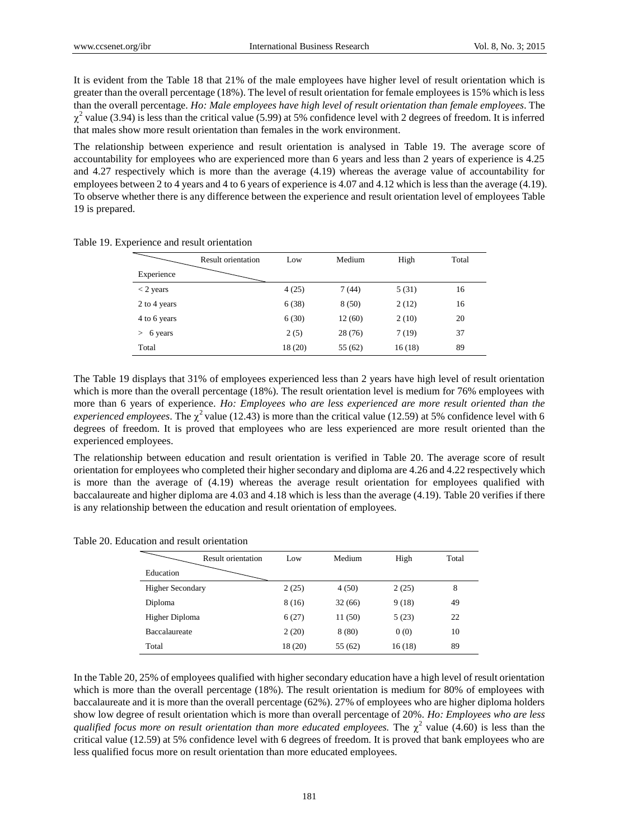It is evident from the Table 18 that 21% of the male employees have higher level of result orientation which is greater than the overall percentage (18%). The level of result orientation for female employees is 15% which is less than the overall percentage. *Ho: Male employees have high level of result orientation than female employees*. The  $\chi^2$  value (3.94) is less than the critical value (5.99) at 5% confidence level with 2 degrees of freedom. It is inferred that males show more result orientation than females in the work environment.

The relationship between experience and result orientation is analysed in Table 19. The average score of accountability for employees who are experienced more than 6 years and less than 2 years of experience is 4.25 and 4.27 respectively which is more than the average (4.19) whereas the average value of accountability for employees between 2 to 4 years and 4 to 6 years of experience is 4.07 and 4.12 which is less than the average (4.19). To observe whether there is any difference between the experience and result orientation level of employees Table 19 is prepared.

|                   | <b>Result orientation</b> | Low     | Medium  | High   | Total |
|-------------------|---------------------------|---------|---------|--------|-------|
| Experience        |                           |         |         |        |       |
| $<$ 2 years       |                           | 4(25)   | 7(44)   | 5(31)  | 16    |
| 2 to 4 years      |                           | 6(38)   | 8(50)   | 2(12)  | 16    |
| 4 to 6 years      |                           | 6(30)   | 12(60)  | 2(10)  | 20    |
| 6 years<br>$\geq$ |                           | 2(5)    | 28(76)  | 7(19)  | 37    |
| Total             |                           | 18 (20) | 55 (62) | 16(18) | 89    |

Table 19. Experience and result orientation

The Table 19 displays that 31% of employees experienced less than 2 years have high level of result orientation which is more than the overall percentage (18%). The result orientation level is medium for 76% employees with more than 6 years of experience. *Ho: Employees who are less experienced are more result oriented than the experienced employees*. The  $\chi^2$  value (12.43) is more than the critical value (12.59) at 5% confidence level with 6 degrees of freedom. It is proved that employees who are less experienced are more result oriented than the experienced employees.

The relationship between education and result orientation is verified in Table 20. The average score of result orientation for employees who completed their higher secondary and diploma are 4.26 and 4.22 respectively which is more than the average of (4.19) whereas the average result orientation for employees qualified with baccalaureate and higher diploma are 4.03 and 4.18 which is less than the average (4.19). Table 20 verifies if there is any relationship between the education and result orientation of employees.

Table 20. Education and result orientation

| Result orientation      | Low     | Medium  | High   | Total |
|-------------------------|---------|---------|--------|-------|
| Education               |         |         |        |       |
| <b>Higher Secondary</b> | 2(25)   | 4(50)   | 2(25)  | 8     |
| Diploma                 | 8(16)   | 32(66)  | 9(18)  | 49    |
| Higher Diploma          | 6(27)   | 11(50)  | 5(23)  | 22    |
| Baccalaureate           | 2(20)   | 8(80)   | 0(0)   | 10    |
| Total                   | 18 (20) | 55 (62) | 16(18) | 89    |

In the Table 20, 25% of employees qualified with higher secondary education have a high level of result orientation which is more than the overall percentage (18%). The result orientation is medium for 80% of employees with baccalaureate and it is more than the overall percentage (62%). 27% of employees who are higher diploma holders show low degree of result orientation which is more than overall percentage of 20%. *Ho: Employees who are less qualified focus more on result orientation than more educated employees.* The  $\chi^2$  value (4.60) is less than the critical value (12.59) at 5% confidence level with 6 degrees of freedom. It is proved that bank employees who are less qualified focus more on result orientation than more educated employees.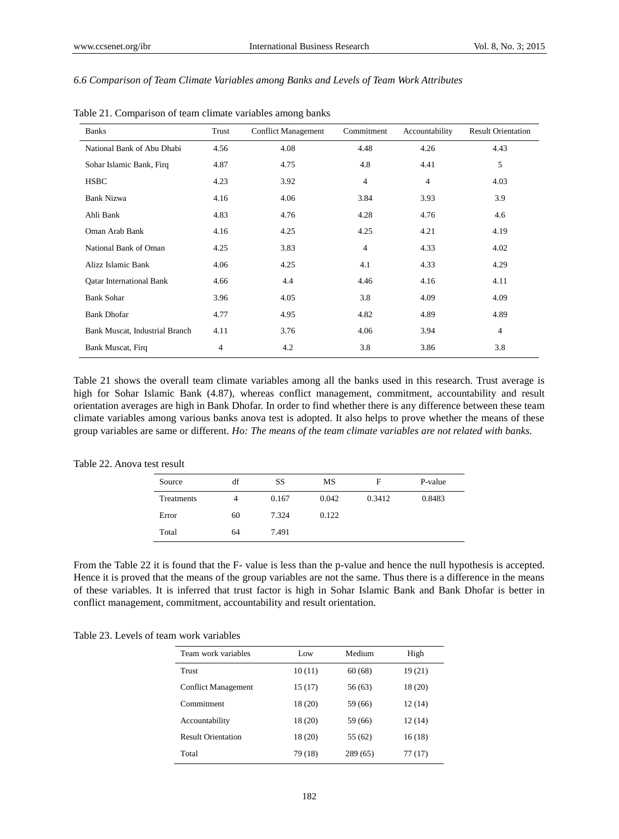## *6.6 Comparison of Team Climate Variables among Banks and Levels of Team Work Attributes*

| <b>Banks</b>                    | Trust | <b>Conflict Management</b> | Commitment     | Accountability | <b>Result Orientation</b> |
|---------------------------------|-------|----------------------------|----------------|----------------|---------------------------|
| National Bank of Abu Dhabi      | 4.56  | 4.08                       | 4.48           | 4.26           | 4.43                      |
| Sohar Islamic Bank, Firq        | 4.87  | 4.75                       | 4.8            | 4.41           | 5                         |
| <b>HSBC</b>                     | 4.23  | 3.92                       | $\overline{4}$ | $\overline{4}$ | 4.03                      |
| <b>Bank Nizwa</b>               | 4.16  | 4.06                       | 3.84           | 3.93           | 3.9                       |
| Ahli Bank                       | 4.83  | 4.76                       | 4.28           | 4.76           | 4.6                       |
| Oman Arab Bank                  | 4.16  | 4.25                       | 4.25           | 4.21           | 4.19                      |
| National Bank of Oman           | 4.25  | 3.83                       | $\overline{4}$ | 4.33           | 4.02                      |
| Alizz Islamic Bank              | 4.06  | 4.25                       | 4.1            | 4.33           | 4.29                      |
| <b>Qatar International Bank</b> | 4.66  | 4.4                        | 4.46           | 4.16           | 4.11                      |
| <b>Bank Sohar</b>               | 3.96  | 4.05                       | 3.8            | 4.09           | 4.09                      |
| <b>Bank Dhofar</b>              | 4.77  | 4.95                       | 4.82           | 4.89           | 4.89                      |
| Bank Muscat, Industrial Branch  | 4.11  | 3.76                       | 4.06           | 3.94           | $\overline{4}$            |
| Bank Muscat, Firq               | 4     | 4.2                        | 3.8            | 3.86           | 3.8                       |

Table 21. Comparison of team climate variables among banks

Table 21 shows the overall team climate variables among all the banks used in this research. Trust average is high for Sohar Islamic Bank (4.87), whereas conflict management, commitment, accountability and result orientation averages are high in Bank Dhofar. In order to find whether there is any difference between these team climate variables among various banks anova test is adopted. It also helps to prove whether the means of these group variables are same or different. *Ho: The means of the team climate variables are not related with banks.*

| Source            | df | SS    | MS    | F      | P-value |
|-------------------|----|-------|-------|--------|---------|
| <b>Treatments</b> | 4  | 0.167 | 0.042 | 0.3412 | 0.8483  |
| Error             | 60 | 7.324 | 0.122 |        |         |
| Total             | 64 | 7.491 |       |        |         |

# Table 22. Anova test result

From the Table 22 it is found that the F- value is less than the p-value and hence the null hypothesis is accepted. Hence it is proved that the means of the group variables are not the same. Thus there is a difference in the means of these variables. It is inferred that trust factor is high in Sohar Islamic Bank and Bank Dhofar is better in conflict management, commitment, accountability and result orientation.

Table 23. Levels of team work variables

| Team work variables        | Low     | Medium   | High    |
|----------------------------|---------|----------|---------|
| Trust                      | 10(11)  | 60(68)   | 19(21)  |
| <b>Conflict Management</b> | 15 (17) | 56 (63)  | 18 (20) |
| Commitment                 | 18 (20) | 59 (66)  | 12(14)  |
| Accountability             | 18 (20) | 59 (66)  | 12(14)  |
| <b>Result Orientation</b>  | 18 (20) | 55 (62)  | 16(18)  |
| Total                      | 79 (18) | 289 (65) | 77 (17) |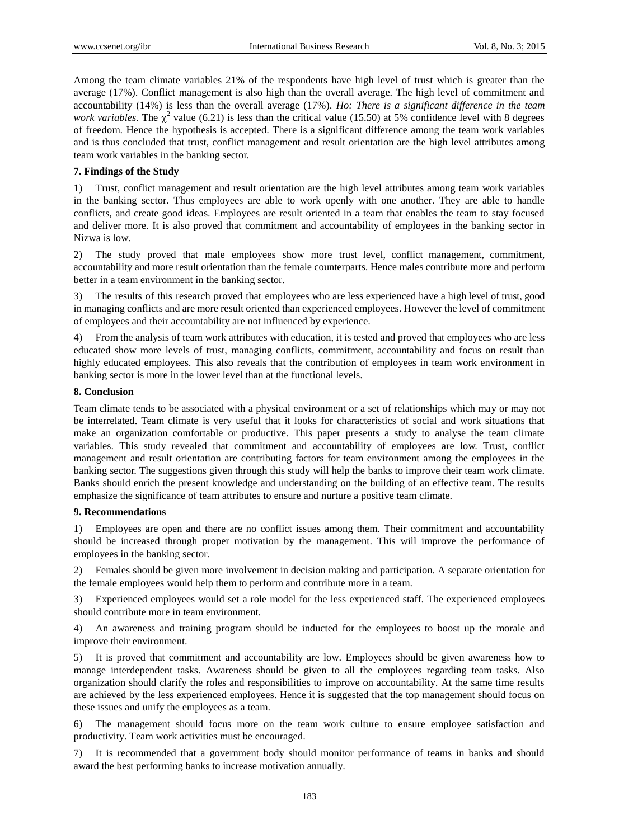Among the team climate variables 21% of the respondents have high level of trust which is greater than the average (17%). Conflict management is also high than the overall average. The high level of commitment and accountability (14%) is less than the overall average (17%). *Ho: There is a significant difference in the team work variables*. The  $\chi^2$  value (6.21) is less than the critical value (15.50) at 5% confidence level with 8 degrees of freedom. Hence the hypothesis is accepted. There is a significant difference among the team work variables and is thus concluded that trust, conflict management and result orientation are the high level attributes among team work variables in the banking sector.

# **7. Findings of the Study**

1) Trust, conflict management and result orientation are the high level attributes among team work variables in the banking sector. Thus employees are able to work openly with one another. They are able to handle conflicts, and create good ideas. Employees are result oriented in a team that enables the team to stay focused and deliver more. It is also proved that commitment and accountability of employees in the banking sector in Nizwa is low.

2) The study proved that male employees show more trust level, conflict management, commitment, accountability and more result orientation than the female counterparts. Hence males contribute more and perform better in a team environment in the banking sector.

3) The results of this research proved that employees who are less experienced have a high level of trust, good in managing conflicts and are more result oriented than experienced employees. However the level of commitment of employees and their accountability are not influenced by experience.

4) From the analysis of team work attributes with education, it is tested and proved that employees who are less educated show more levels of trust, managing conflicts, commitment, accountability and focus on result than highly educated employees. This also reveals that the contribution of employees in team work environment in banking sector is more in the lower level than at the functional levels.

# **8. Conclusion**

Team climate tends to be associated with a physical environment or a set of relationships which may or may not be interrelated. Team climate is very useful that it looks for characteristics of social and work situations that make an organization comfortable or productive. This paper presents a study to analyse the team climate variables. This study revealed that commitment and accountability of employees are low. Trust, conflict management and result orientation are contributing factors for team environment among the employees in the banking sector. The suggestions given through this study will help the banks to improve their team work climate. Banks should enrich the present knowledge and understanding on the building of an effective team. The results emphasize the significance of team attributes to ensure and nurture a positive team climate.

## **9. Recommendations**

1) Employees are open and there are no conflict issues among them. Their commitment and accountability should be increased through proper motivation by the management. This will improve the performance of employees in the banking sector.

2) Females should be given more involvement in decision making and participation. A separate orientation for the female employees would help them to perform and contribute more in a team.

3) Experienced employees would set a role model for the less experienced staff. The experienced employees should contribute more in team environment.

4) An awareness and training program should be inducted for the employees to boost up the morale and improve their environment.

5) It is proved that commitment and accountability are low. Employees should be given awareness how to manage interdependent tasks. Awareness should be given to all the employees regarding team tasks. Also organization should clarify the roles and responsibilities to improve on accountability. At the same time results are achieved by the less experienced employees. Hence it is suggested that the top management should focus on these issues and unify the employees as a team.

6) The management should focus more on the team work culture to ensure employee satisfaction and productivity. Team work activities must be encouraged.

7) It is recommended that a government body should monitor performance of teams in banks and should award the best performing banks to increase motivation annually.